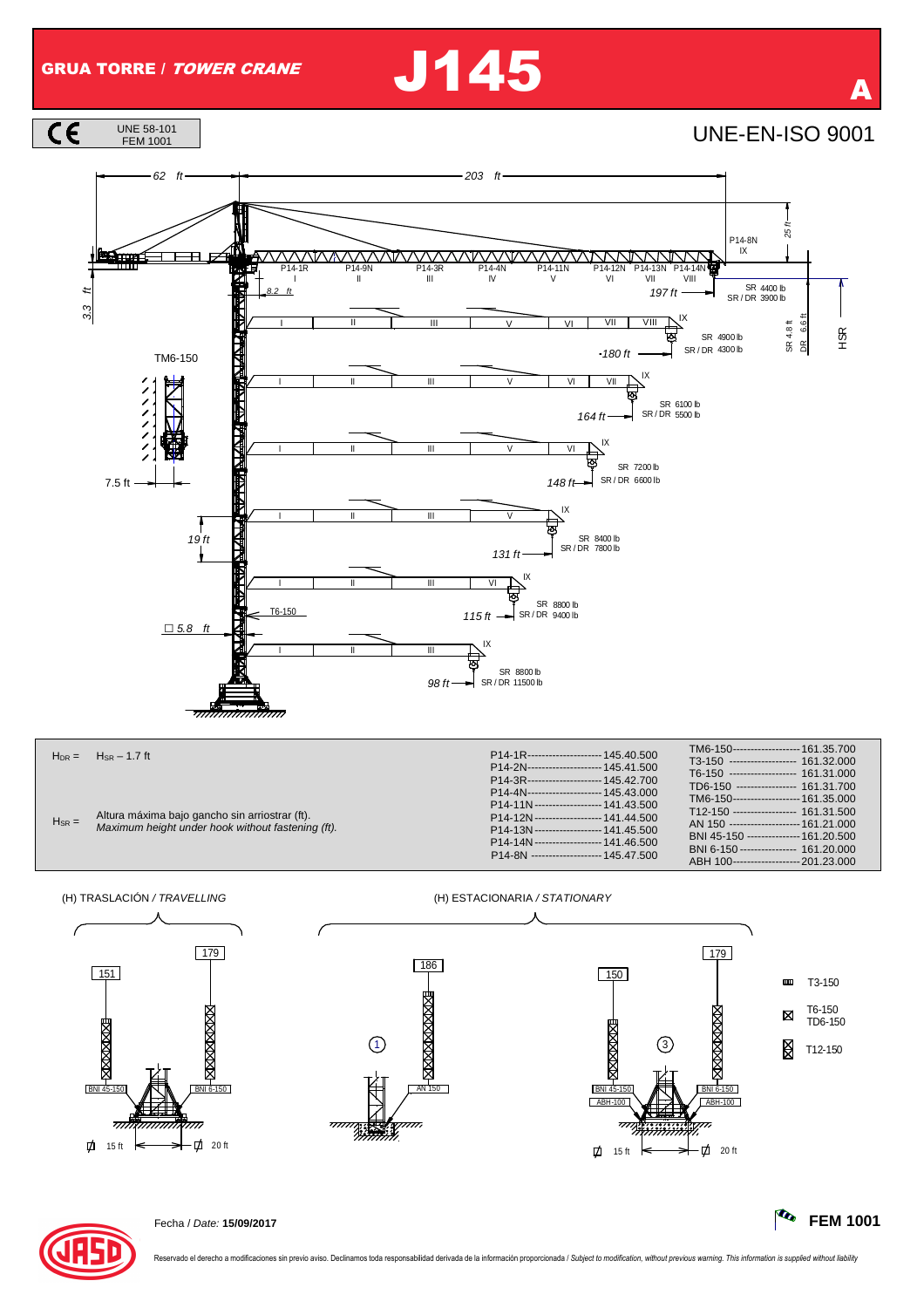## GRUA TORRE / TOWER CRANE J145

FEM 1001 UNE-EN-ISO 9001





186 AN 150 4. 医化

(H) TRASLACIÓN / TRAVELLING (H) ESTACIONARIA / STATIONARY





Fecha / Date: **15/09/2017 FEM 1001**

 $-201.23.000$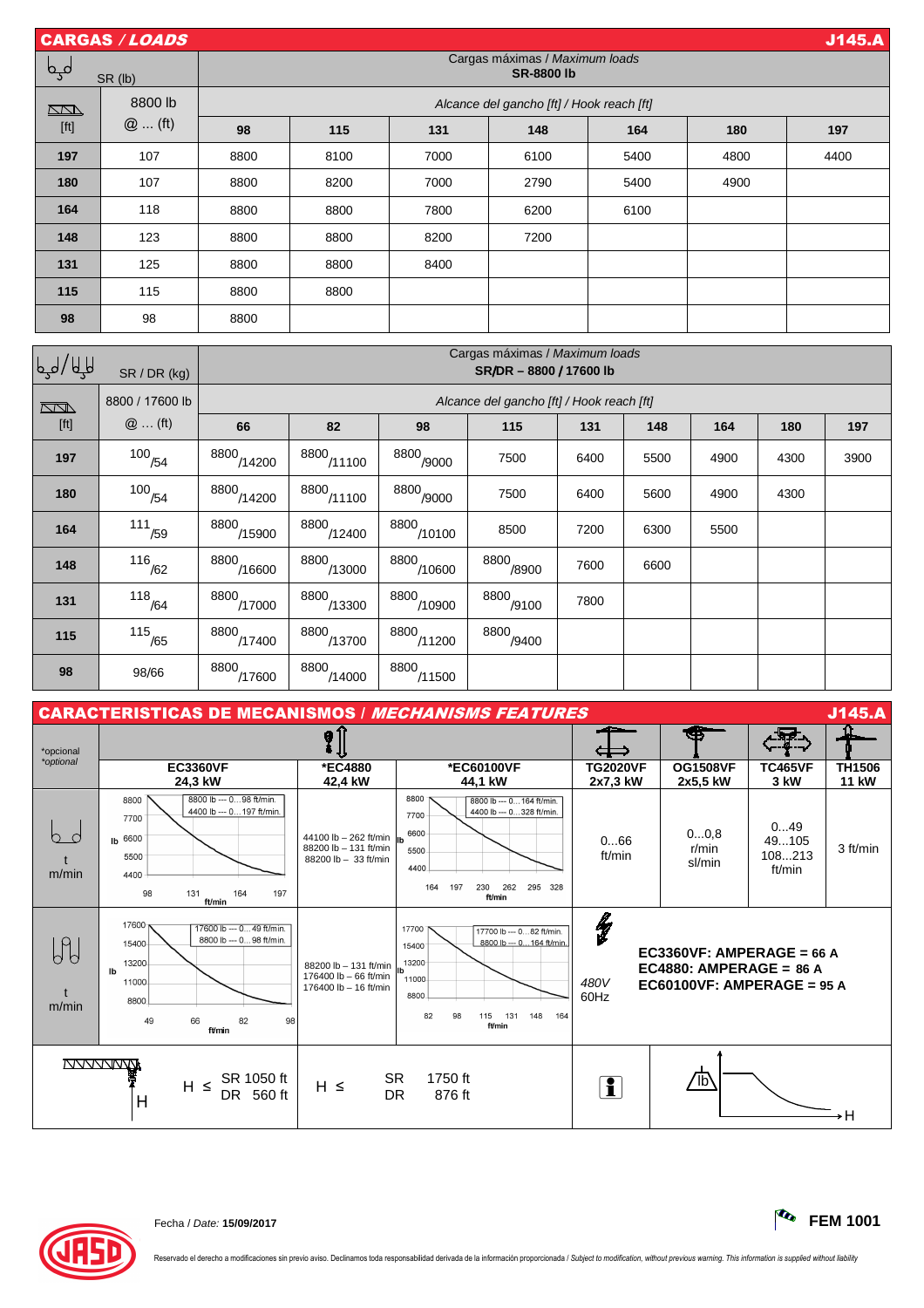| <b>J145.A</b><br><b>CARGAS / LOADS</b> |                      |                                                           |                                           |                        |                       |              |      |      |      |      |  |
|----------------------------------------|----------------------|-----------------------------------------------------------|-------------------------------------------|------------------------|-----------------------|--------------|------|------|------|------|--|
| لىها                                   | SR (lb)              | Cargas máximas / Maximum loads<br><b>SR-8800 lb</b>       |                                           |                        |                       |              |      |      |      |      |  |
| $\Box$                                 | 8800 lb              | Alcance del gancho [ft] / Hook reach [ft]                 |                                           |                        |                       |              |      |      |      |      |  |
| [ft]                                   | $@$ (ft)             | 98                                                        | 115                                       | 131                    | 148                   | 164          |      | 180  |      | 197  |  |
| 197                                    | 107                  | 8800                                                      | 8100                                      | 7000                   | 6100                  | 5400         |      | 4800 |      | 4400 |  |
| 180                                    | 107                  | 8800                                                      | 8200                                      | 7000                   | 2790                  |              | 5400 |      |      |      |  |
| 164                                    | 118                  | 8800                                                      | 8800                                      | 7800                   | 6200                  |              | 6100 |      |      |      |  |
| 148                                    | 123                  | 8800                                                      | 8800                                      | 8200                   | 7200                  |              |      |      |      |      |  |
| 131                                    | 125                  | 8800                                                      | 8800                                      | 8400                   |                       |              |      |      |      |      |  |
| 115                                    | 115                  | 8800                                                      | 8800                                      |                        |                       |              |      |      |      |      |  |
| 98                                     | 98                   | 8800                                                      |                                           |                        |                       |              |      |      |      |      |  |
| الحيا\ للها                            | SR / DR (kg)         | Cargas máximas / Maximum loads<br>SR/DR - 8800 / 17600 lb |                                           |                        |                       |              |      |      |      |      |  |
| $\overline{\mathbb{Z}}$                | 8800 / 17600 lb      |                                                           | Alcance del gancho [ft] / Hook reach [ft] |                        |                       |              |      |      |      |      |  |
| [ft]                                   | $@$ (ft)             | 66                                                        | 82                                        | 98                     | 115                   | 131<br>148   |      | 164  | 180  | 197  |  |
| 197                                    | $100$ <sub>/54</sub> | $8800$ <sub>/14200</sub>                                  | 8800/11100                                | 8800 <sub>/9000</sub>  | 7500                  | 6400         | 5500 | 4900 | 4300 | 3900 |  |
| 180                                    | $100^{154}$          | $\frac{8800}{14200}$                                      | $\frac{8800}{11100}$                      | $8800$<br>$-9000$      | 7500                  | 6400<br>5600 |      | 4900 | 4300 |      |  |
| 164                                    | $111$ <sub>/59</sub> | $\frac{8800}{15900}$                                      | $8800$ <sub>/12400</sub>                  | $\frac{8800}{10100}$   | 8500                  | 7200<br>6300 |      | 5500 |      |      |  |
| 148                                    | $116$ <sub>/62</sub> | 8800/16600                                                | 8800/13000                                | $\frac{8800}{10600}$   | 8800 <sub>/8900</sub> | 7600<br>6600 |      |      |      |      |  |
| 131                                    | $118$ <sub>/64</sub> | $8800$ <sub>/17000</sub>                                  | 8800/13300                                | 8800/10900             | 8800 <sub>/9100</sub> | 7800         |      |      |      |      |  |
| 115                                    | $115$ <sub>/65</sub> | 8800 <sub>/17400</sub>                                    | 8800 <sub>/13700</sub>                    | 8800 <sub>/11200</sub> | 8800 <sub>/9400</sub> |              |      |      |      |      |  |

| <b>J145.A</b><br><b>CARACTERISTICAS DE MECANISMOS / MECHANISMS FEATURES</b> |                                                                                                                                                  |                                                                                         |                                                                                                                                                     |                             |                                                                                         |                                  |                               |  |
|-----------------------------------------------------------------------------|--------------------------------------------------------------------------------------------------------------------------------------------------|-----------------------------------------------------------------------------------------|-----------------------------------------------------------------------------------------------------------------------------------------------------|-----------------------------|-----------------------------------------------------------------------------------------|----------------------------------|-------------------------------|--|
| *opcional                                                                   |                                                                                                                                                  | داد                                                                                     | روا جي                                                                                                                                              |                             |                                                                                         |                                  |                               |  |
| *optional                                                                   | <b>EC3360VF</b><br>24.3 kW                                                                                                                       | *EC4880<br>42,4 kW                                                                      | *EC60100VF<br>44.1 kW                                                                                                                               | <b>TG2020VF</b><br>2x7,3 kW | <b>OG1508VF</b><br>2x5,5 kW                                                             | <b>TC465VF</b><br>3 kW           | <b>TH1506</b><br><b>11 kW</b> |  |
| b c<br>m/min                                                                | 8800 lb --- 098 ft/min.<br>8800<br>4400 lb --- 0 197 ft/min.<br>7700<br>Ib 6600<br>5500<br>4400<br>98<br>131<br>164<br>197<br>ft/min             | 44100 lb - 262 ft/min<br>88200 lb - 131 ft/min<br>88200 lb - 33 ft/min                  | 8800<br>8800 lb --- 0 164 ft/min.<br>4400 lb --- 0328 ft/min.<br>7700<br>6600<br>5500<br>4400<br>197<br>230<br>262<br>295 328<br>164<br>ft/min      | 066<br>ft/min               | 00,8<br>r/min<br>sl/min                                                                 | 049<br>49105<br>108213<br>ft/min | 3 ft/min                      |  |
| $\oint_C$<br>h<br>m/min                                                     | 17600-<br>17600 lb --- 049 ft/min.<br>8800 lb --- 0 98 ft/min.<br>15400<br>13200<br><b>Ib</b><br>11000<br>8800<br>82<br>49<br>66<br>98<br>ft/min | 88200 lb - 131 ft/min $\int_{1b}^{1}$<br>176400 lb - 66 ft/min<br>176400 lb - 16 ft/min | 17700<br>17700 lb --- 082 ft/min.<br>8800 lb --- 0 164 ft/min.<br>15400<br>13200<br>11000<br>8800<br>82<br>98<br>115<br>131<br>148<br>164<br>ft/min | lg<br>480V<br>60Hz          | EC3360VF: AMPERAGE = 66 A<br>EC4880: AMPERAGE = $86 A$<br>$EC60100VF$ : AMPERAGE = 95 A |                                  |                               |  |
| <b>NVVVVIVVV</b><br>SR 1050 ft<br>$H \leq$<br>DR 560 ft<br>Н                |                                                                                                                                                  | $H \leq$                                                                                | <b>SR</b><br>1750 ft<br>℡<br>$\mathbf{R}$<br><b>DR</b><br>876 ft                                                                                    |                             |                                                                                         |                                  | ۰H                            |  |

8800<sub>/11500</sub>

 $\left| \begin{array}{c|c} \hline \end{array} \right|$   $\left| \begin{array}{c|c} \hline \end{array} \right|$   $\left| \begin{array}{c|c} \hline \end{array} \right|$   $\left| \begin{array}{c|c} \hline \end{array} \right|$   $\left| \begin{array}{c|c} \hline \end{array} \right|$   $\left| \begin{array}{c|c} \hline \end{array} \right|$ 



**98** 98/66

8800<sub>/17600</sub>

8800 /14000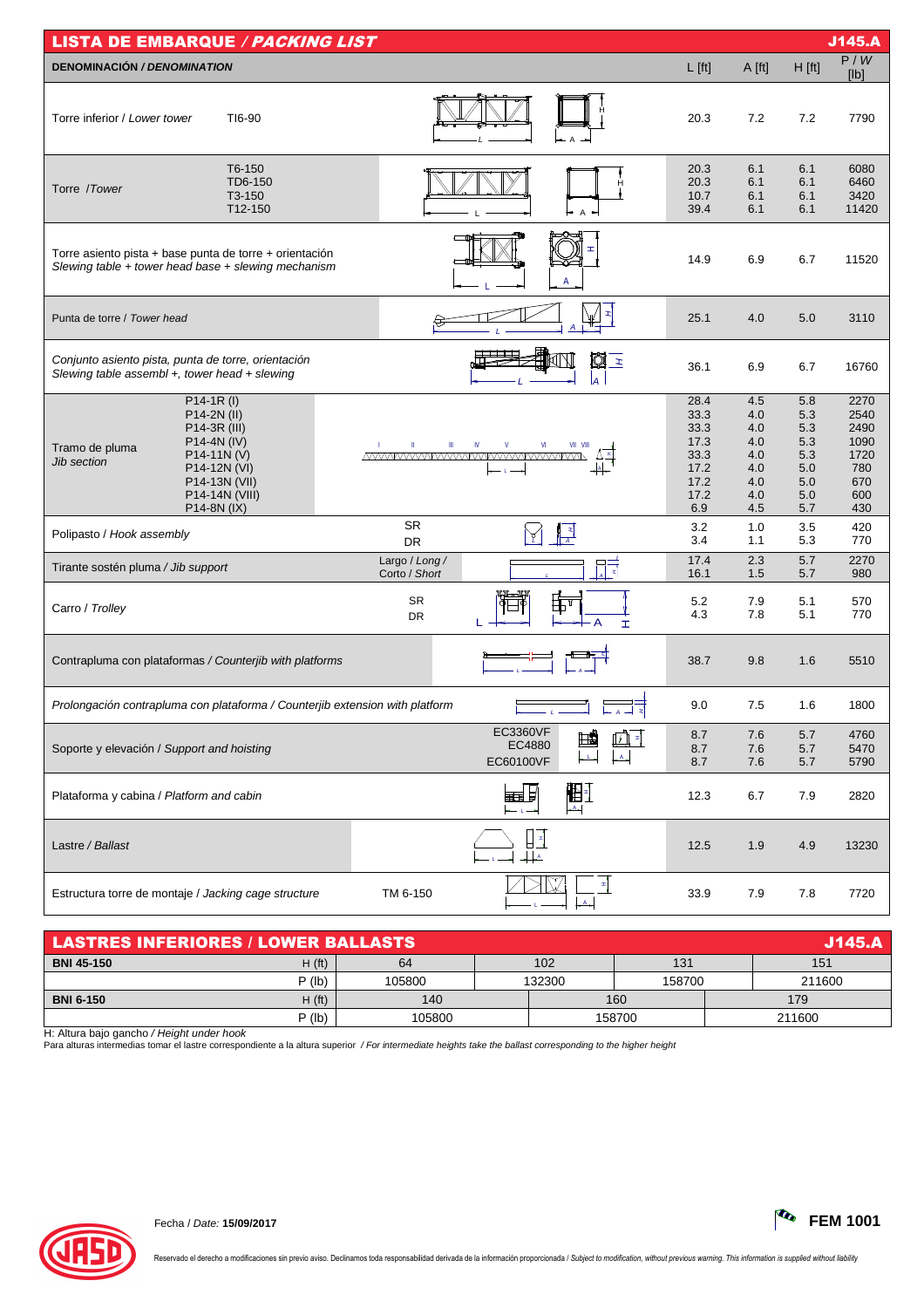| <b>LISTA DE EMBARQUE / PACKING LIST</b>                                                                                                                                     |                                 |                                                   |                                                                     |                                                             |                                                             | J145.A                                                           |
|-----------------------------------------------------------------------------------------------------------------------------------------------------------------------------|---------------------------------|---------------------------------------------------|---------------------------------------------------------------------|-------------------------------------------------------------|-------------------------------------------------------------|------------------------------------------------------------------|
| <b>DENOMINACIÓN / DENOMINATION</b>                                                                                                                                          |                                 |                                                   | $L$ [ft]                                                            | A [ft]                                                      | $H$ [ft]                                                    | P/W<br>[Ib]                                                      |
| Torre inferior / Lower tower<br>TI6-90                                                                                                                                      |                                 |                                                   | 20.3                                                                | 7.2                                                         | 7.2                                                         | 7790                                                             |
| T6-150<br>TD6-150<br>Torre /Tower<br>T3-150<br>T12-150                                                                                                                      |                                 | н<br>$\mathsf{A}$                                 | 20.3<br>20.3<br>10.7<br>39.4                                        | 6.1<br>6.1<br>6.1<br>6.1                                    | 6.1<br>6.1<br>6.1<br>6.1                                    | 6080<br>6460<br>3420<br>11420                                    |
| Torre asiento pista + base punta de torre + orientación<br>Slewing table + tower head base + slewing mechanism                                                              |                                 | A                                                 | 14.9                                                                | 6.9                                                         | 6.7                                                         | 11520                                                            |
| Punta de torre / Tower head                                                                                                                                                 |                                 |                                                   | 25.1                                                                | 4.0                                                         | 5.0                                                         | 3110                                                             |
| Conjunto asiento pista, punta de torre, orientación<br>Slewing table assembl +, tower head + slewing                                                                        |                                 | Q I<br>la                                         | 36.1                                                                | 6.9                                                         | 6.7                                                         | 16760                                                            |
| $P14-1R (I)$<br>P14-2N (II)<br>P14-3R (III)<br>P14-4N (IV)<br>Tramo de pluma<br>P14-11N(V)<br>Jib section<br>P14-12N (VI)<br>P14-13N (VII)<br>P14-14N (VIII)<br>P14-8N (IX) | Ш                               | IV<br>VII<br>VIII<br><u>MWWWWWWWWWWWWWWWW</u>     | 28.4<br>33.3<br>33.3<br>17.3<br>33.3<br>17.2<br>17.2<br>17.2<br>6.9 | 4.5<br>4.0<br>4.0<br>4.0<br>4.0<br>4.0<br>4.0<br>4.0<br>4.5 | 5.8<br>5.3<br>5.3<br>5.3<br>5.3<br>5.0<br>5.0<br>5.0<br>5.7 | 2270<br>2540<br>2490<br>1090<br>1720<br>780<br>670<br>600<br>430 |
| Polipasto / Hook assembly                                                                                                                                                   | <b>SR</b><br>DR                 | ▌▝▎                                               | 3.2<br>3.4                                                          | 1.0<br>1.1                                                  | 3.5<br>5.3                                                  | 420<br>770                                                       |
| Tirante sostén pluma / Jib support                                                                                                                                          | Largo / Long /<br>Corto / Short | 眼                                                 | 17.4<br>16.1                                                        | 2.3<br>1.5                                                  | 5.7<br>5.7                                                  | 2270<br>980                                                      |
| Carro / Trolley                                                                                                                                                             | SR<br>DR                        | 缸<br>A<br>I                                       | 5.2<br>4.3                                                          | 7.9<br>7.8                                                  | 5.1<br>5.1                                                  | 570<br>770                                                       |
| Contrapluma con plataformas / Counterjib with platforms                                                                                                                     |                                 |                                                   | 38.7                                                                | 9.8                                                         | 1.6                                                         | 5510                                                             |
| Prolongación contrapluma con plataforma / Counterjib extension with platform                                                                                                |                                 |                                                   | 9.0                                                                 | 7.5                                                         | 1.6                                                         | 1800                                                             |
| Soporte y elevación / Support and hoisting                                                                                                                                  |                                 | <b>EC3360VF</b><br>圃<br>面目<br>EC4880<br>EC60100VF | 8.7<br>8.7<br>8.7                                                   | 7.6<br>7.6<br>7.6                                           | 5.7<br>5.7<br>5.7                                           | 4760<br>5470<br>5790                                             |
| Plataforma y cabina / Platform and cabin                                                                                                                                    |                                 | 盟<br><b>HELL</b><br>$-A$<br>$-1-$                 | 12.3                                                                | 6.7                                                         | 7.9                                                         | 2820                                                             |
| Lastre / Ballast                                                                                                                                                            |                                 | $+$ $^{\circ}$                                    | 12.5                                                                | 1.9                                                         | 4.9                                                         | 13230                                                            |
| Estructura torre de montaje / Jacking cage structure                                                                                                                        | TM 6-150                        | 革                                                 | 33.9                                                                | 7.9                                                         | 7.8                                                         | 7720                                                             |

| <b>LASTRES INFERIORES / LOWER BALLASTS</b><br>J145.A |                                        |        |        |     |        |     |        |  |
|------------------------------------------------------|----------------------------------------|--------|--------|-----|--------|-----|--------|--|
| <b>BNI 45-150</b>                                    | H(f <sub>t</sub> )<br>102<br>131<br>64 |        |        | 151 |        |     |        |  |
|                                                      | $P$ (lb)                               | 05800  | 132300 |     | 158700 |     | 211600 |  |
| <b>BNI 6-150</b>                                     | H(ft)                                  | 140    |        | 160 |        | 179 |        |  |
|                                                      | $P$ (lb)                               | 105800 |        |     | 158700 |     | 211600 |  |

H: Altura bajo gancho / Height under hook<br>Para alturas intermedias tomar el lastre correspondiente a la altura superior */ For intermediate heights take the ballast corresponding to the higher heigh*t